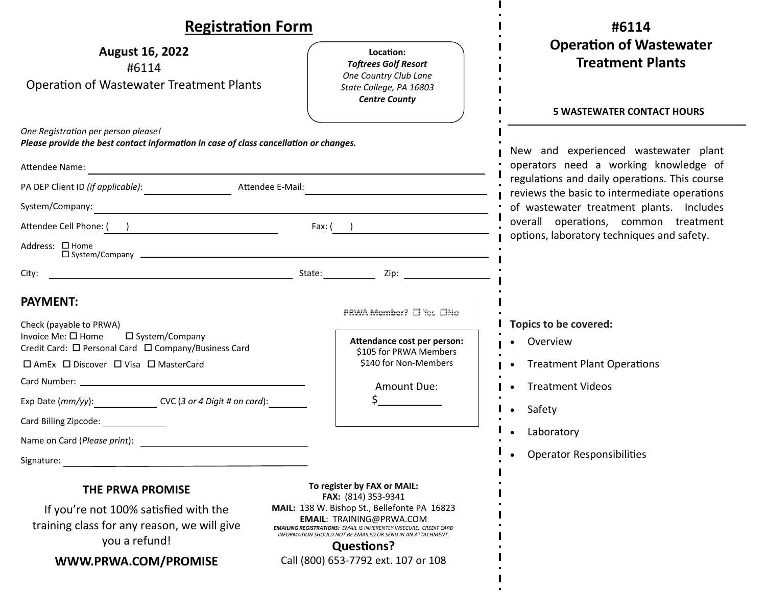| <b>Registration Form</b>                                                                                                                                                                                                                                                                                                                                |                                                                                                                                                                                                                                                                                                                                              | #6114                                                                                                                                                                                                                                                                                                            |
|---------------------------------------------------------------------------------------------------------------------------------------------------------------------------------------------------------------------------------------------------------------------------------------------------------------------------------------------------------|----------------------------------------------------------------------------------------------------------------------------------------------------------------------------------------------------------------------------------------------------------------------------------------------------------------------------------------------|------------------------------------------------------------------------------------------------------------------------------------------------------------------------------------------------------------------------------------------------------------------------------------------------------------------|
| <b>August 16, 2022</b><br>#6114<br><b>Operation of Wastewater Treatment Plants</b>                                                                                                                                                                                                                                                                      | Location:<br><b>Toftrees Golf Resort</b><br>One Country Club Lane<br>State College, PA 16803<br><b>Centre County</b>                                                                                                                                                                                                                         | <b>Operation of Wastewater</b><br><b>Treatment Plants</b><br><b>5 WASTEWATER CONTACT HOURS</b>                                                                                                                                                                                                                   |
| One Registration per person please!<br>Please provide the best contact information in case of class cancellation or changes.<br>Attendee Name:<br>System/Company:<br><u> 1989 - Johann Harry Harry Harry Harry Harry Harry Harry Harry Harry Harry Harry Harry Harry Harry Harry Harry</u><br>Attendee Cell Phone: ( )<br>Fax: $($ )<br>Address: □ Home |                                                                                                                                                                                                                                                                                                                                              | New and experienced wastewater plant<br>operators need a working knowledge of<br>regulations and daily operations. This course<br>reviews the basic to intermediate operations<br>of wastewater treatment plants. Includes<br>overall operations, common treatment<br>options, laboratory techniques and safety. |
| City:<br><b>PAYMENT:</b><br>Check (payable to PRWA)<br>□ System/Company<br>Invoice Me: $\square$ Home<br>Credit Card: □ Personal Card □ Company/Business Card<br>□ AmEx □ Discover □ Visa □ MasterCard<br>Exp Date (mm/yy): CVC (3 or 4 Digit # on card):<br>Card Billing Zipcode:                                                                      | PRWA Member? □ Yes □No<br>Attendance cost per person:<br>\$105 for PRWA Members<br>\$140 for Non-Members<br>Amount Due:<br>$\zeta$ and $\zeta$                                                                                                                                                                                               | Topics to be covered:<br>Overview<br><b>Treatment Plant Operations</b><br><b>Treatment Videos</b><br>Safety<br>Laboratory                                                                                                                                                                                        |
| Name on Card (Please print):<br>Signature:<br><b>THE PRWA PROMISE</b><br>If you're not 100% satisfied with the<br>training class for any reason, we will give<br>you a refund!<br>WWW.PRWA.COM/PROMISE                                                                                                                                                  | To register by FAX or MAIL:<br>FAX: (814) 353-9341<br>MAIL: 138 W. Bishop St., Bellefonte PA 16823<br><b>EMAIL: TRAINING@PRWA.COM</b><br><b>EMAILING REGISTRATIONS: EMAIL IS INHERENTLY INSECURE. CREDIT CARD</b><br>INFORMATION SHOULD NOT BE EMAILED OR SEND IN AN ATTACHMENT.<br><b>Questions?</b><br>Call (800) 653-7792 ext. 107 or 108 | <b>Operator Responsibilities</b>                                                                                                                                                                                                                                                                                 |

п